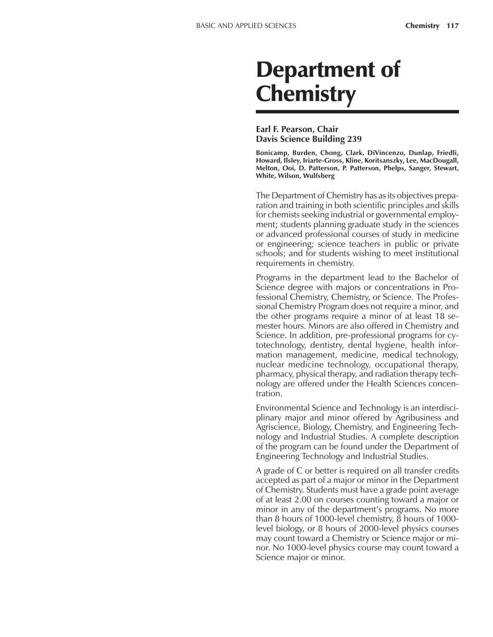# Department of **Chemistry**

#### **Earl F. Pearson, Chair Davis Science Building 239**

**Bonicamp, Burden, Chong, Clark, DiVincenzo, Dunlap, Friedli, Howard, Ilsley, Iriarte-Gross, Kline, Koritsanszky, Lee, MacDougall, Melton, Ooi, D. Patterson, P. Patterson, Phelps, Sanger, Stewart, White, Wilson, Wulfsberg**

The Department of Chemistry has as its objectives preparation and training in both scientific principles and skills for chemists seeking industrial or governmental employment; students planning graduate study in the sciences or advanced professional courses of study in medicine or engineering; science teachers in public or private schools; and for students wishing to meet institutional requirements in chemistry.

Programs in the department lead to the Bachelor of Science degree with majors or concentrations in Professional Chemistry, Chemistry, or Science. The Professional Chemistry Program does not require a minor, and the other programs require a minor of at least 18 semester hours. Minors are also offered in Chemistry and Science. In addition, pre-professional programs for cytotechnology, dentistry, dental hygiene, health information management, medicine, medical technology, nuclear medicine technology, occupational therapy, pharmacy, physical therapy, and radiation therapy technology are offered under the Health Sciences concentration.

Environmental Science and Technology is an interdisciplinary major and minor offered by Agribusiness and Agriscience, Biology, Chemistry, and Engineering Technology and Industrial Studies. A complete description of the program can be found under the Department of Engineering Technology and Industrial Studies.

A grade of C or better is required on all transfer credits accepted as part of a major or minor in the Department of Chemistry. Students must have a grade point average of at least 2.00 on courses counting toward a major or minor in any of the department's programs. No more than 8 hours of 1000-level chemistry, 8 hours of 1000 level biology, or 8 hours of 2000-level physics courses may count toward a Chemistry or Science major or minor. No 1000-level physics course may count toward a Science major or minor.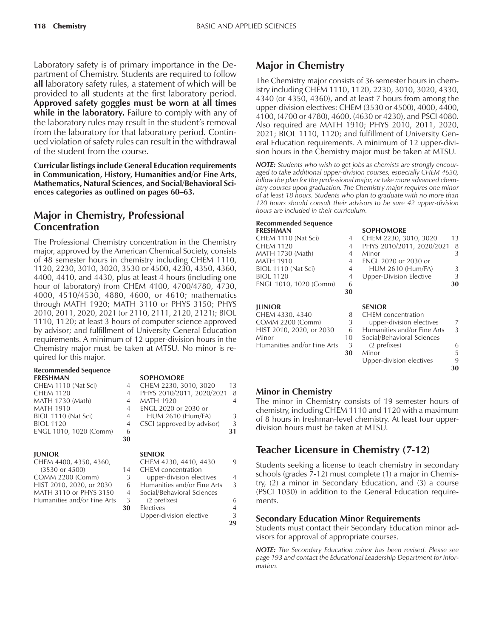Laboratory safety is of primary importance in the Department of Chemistry. Students are required to follow **all** laboratory safety rules, a statement of which will be provided to all students at the first laboratory period. **Approved safety goggles must be worn at all times while in the laboratory.** Failure to comply with any of the laboratory rules may result in the student's removal from the laboratory for that laboratory period. Continued violation of safety rules can result in the withdrawal of the student from the course.

**Curricular listings include General Education requirements in Communication, History, Humanities and/or Fine Arts, Mathematics, Natural Sciences, and Social/Behavioral Sci**ences categories as outlined on pages 60–63.

### **Major in Chemistry, Professional Concentration**

The Professional Chemistry concentration in the Chemistry major, approved by the American Chemical Society, consists of 48 semester hours in chemistry including CHEM 1110, 1120, 2230, 3010, 3020, 3530 or 4500, 4230, 4350, 4360, 4400, 4410, and 4430, plus at least 4 hours (including one hour of laboratory) from CHEM 4100, 4700/4780, 4730, 4000, 4510/4530, 4880, 4600, or 4610; mathematics through MATH 1920; MATH 3110 or PHYS 3150; PHYS 2010, 2011, 2020, 2021 (or 2110, 2111, 2120, 2121); BIOL 1110, 1120; at least 3 hours of computer science approved by advisor; and fulfillment of University General Education requirements. A minimum of 12 upper-division hours in the Chemistry major must be taken at MTSU. No minor is required for this major.

#### **Recommended Sequence**

| <b>FRESHMAN</b>         |                | <b>SOPHOMORE</b>        |
|-------------------------|----------------|-------------------------|
| CHEM 1110 (Nat Sci)     |                | 4 CHEM 2230, 3010, 30   |
| <b>CHEM 1120</b>        | $\overline{4}$ | PHYS 2010/2011, 202     |
| <b>MATH 1730 (Math)</b> | 4              | <b>MATH 1920</b>        |
| <b>MATH 1910</b>        | 4              | ENGL 2020 or 2030 or    |
| BIOL 1110 (Nat Sci)     | 4              | <b>HUM 2610 (Hum/FA</b> |
| <b>BIOL 1120</b>        | 4              | CSCI (approved by adv   |
| ENGL 1010, 1020 (Comm)  | 6              |                         |
|                         |                |                         |

#### **JUNIOR SENIOR**

#### **SOPHOMORE**

| CHEM 1110 (Nat Sci)    |                | CHEM 2230, 3010, 3020       | 13 |
|------------------------|----------------|-----------------------------|----|
| CHEM 1120              | $\overline{4}$ | PHYS 2010/2011, 2020/2021 8 |    |
| MATH 1730 (Math)       |                | <b>MATH 1920</b>            |    |
| MATH 1910              | 4              | ENGL 2020 or 2030 or        |    |
| BIOL 1110 (Nat Sci)    | 4              | <b>HUM 2610 (Hum/FA)</b>    |    |
| <b>BIOL 1120</b>       | 4              | CSCI (approved by advisor)  | 3  |
| ENGL 1010, 1020 (Comm) | 6              |                             | 31 |
|                        | 30             |                             |    |

| CHEM 4400, 4350, 4360,      |                | CHEM 4230, 4410, 4430       | 9              |
|-----------------------------|----------------|-----------------------------|----------------|
| $(3530 \text{ or } 4500)$   | 14             | <b>CHEM</b> concentration   |                |
| <b>COMM 2200 (Comm)</b>     | 3              | upper-division electives    | $\overline{4}$ |
| HIST 2010, 2020, or 2030    | 6              | Humanities and/or Fine Arts | 3              |
| MATH 3110 or PHYS 3150      | $\overline{4}$ | Social/Behavioral Sciences  |                |
| Humanities and/or Fine Arts | 3              | (2 prefixes)                | 6              |
|                             | 30             | Electives                   | $\overline{4}$ |
|                             |                | Upper-division elective     | 3              |
|                             |                |                             | 29             |

### **Major in Chemistry**

The Chemistry major consists of 36 semester hours in chemistry including CHEM 1110, 1120, 2230, 3010, 3020, 4330, 4340 (or 4350, 4360), and at least 7 hours from among the upper-division electives: CHEM (3530 or 4500), 4000, 4400, 4100, (4700 or 4780), 4600, (4630 or 4230), and PSCI 4080. Also required are MATH 1910; PHYS 2010, 2011, 2020, 2021; BIOL 1110, 1120; and fulfillment of University General Education requirements. A minimum of 12 upper-division hours in the Chemistry major must be taken at MTSU.

*NOTE: Students who wish to get jobs as chemists are strongly encouraged to take additional upper-division courses, especially CHEM 4630, follow the plan for the professional major, or take more advanced chemistry courses upon graduation. The Chemistry major requires one minor of at least 18 hours. Students who plan to graduate with no more than 120 hours should consult their advisors to be sure 42 upper-division hours are included in their curriculum.*

### **Recommended Sequence**

| <b>FRESHMAN</b>        |    | <b>SOPHOMORE</b>               |    |
|------------------------|----|--------------------------------|----|
| CHEM 1110 (Nat Sci)    | 4  | CHEM 2230, 3010, 3020          | 13 |
| <b>CHEM 1120</b>       | 4  | PHYS 2010/2011, 2020/2021      | -8 |
| MATH 1730 (Math)       | 4  | Minor                          | 3  |
| <b>MATH 1910</b>       | 4  | ENGL 2020 or 2030 or           |    |
| BIOL 1110 (Nat Sci)    | 4  | <b>HUM 2610 (Hum/FA)</b>       | 3  |
| <b>BIOL 1120</b>       | 4  | <b>Upper-Division Elective</b> | 3  |
| ENGL 1010, 1020 (Comm) | 6  |                                | 30 |
|                        | 30 |                                |    |
|                        |    |                                |    |

#### **IUNIOR**

| CHEM 4330, 4340             |     | CHEM concentration         |
|-----------------------------|-----|----------------------------|
| COMM 2200 (Comm)            | 3   | upper-division electives   |
| HIST 2010, 2020, or 2030    | 6   | Humanities and/or Fine Ar  |
| Minor                       | 10. | Social/Behavioral Sciences |
| Humanities and/or Fine Arts | -3  | (2 prefixes)               |
|                             | 30  | Minor                      |

| <b>JUNIOR</b>               |    | <b>SENIOR</b>               |    |
|-----------------------------|----|-----------------------------|----|
| CHEM 4330, 4340             | 8  | <b>CHEM</b> concentration   |    |
| <b>COMM 2200 (Comm)</b>     | 3  | upper-division electives    | 7  |
| HIST 2010, 2020, or 2030    | 6  | Humanities and/or Fine Arts | 3  |
| Minor                       | 10 | Social/Behavioral Sciences  |    |
| Humanities and/or Fine Arts | 3  | (2 prefixes)                | 6  |
|                             | 30 | Minor                       | 5  |
|                             |    | Upper-division electives    | 9  |
|                             |    |                             | 30 |

#### **Minor in Chemistry**

The minor in Chemistry consists of 19 semester hours of chemistry, including CHEM 1110 and 1120 with a maximum of 8 hours in freshman-level chemistry. At least four upperdivision hours must be taken at MTSU.

### **Teacher Licensure in Chemistry (7-12)**

Students seeking a license to teach chemistry in secondary schools (grades  $\bar{7}$ -12) must complete (1) a major in Chemistry, (2) a minor in Secondary Education, and (3) a course (PSCI 1030) in addition to the General Education requirements.

#### **Secondary Education Minor Requirements**

Students must contact their Secondary Education minor advisors for approval of appropriate courses.

*NOTE: The Secondary Education minor has been revised. Please see page 193 and contact the Educational Leadership Department for information.*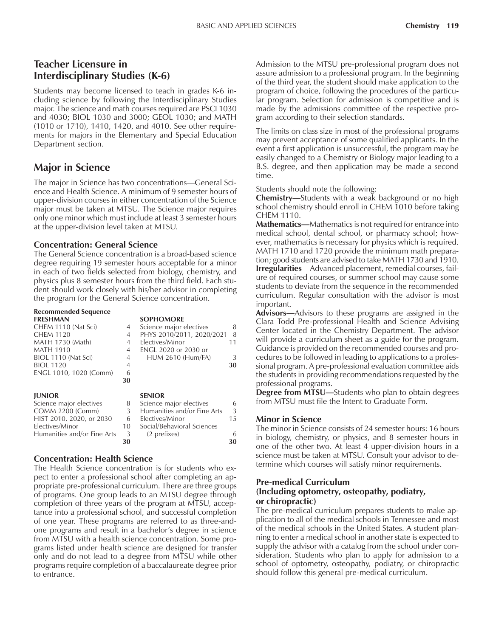### **Teacher Licensure in Interdisciplinary Studies (K-6)**

Students may become licensed to teach in grades K-6 including science by following the Interdisciplinary Studies major. The science and math courses required are PSCI 1030 and 4030; BIOL 1030 and 3000; GEOL 1030; and MATH (1010 or 1710), 1410, 1420, and 4010. See other requirements for majors in the Elementary and Special Education Department section.

### **Major in Science**

The major in Science has two concentrations—General Science and Health Science. A minimum of 9 semester hours of upper-division courses in either concentration of the Science major must be taken at MTSU. The Science major requires only one minor which must include at least 3 semester hours at the upper-division level taken at MTSU.

#### **Concentration: General Science**

The General Science concentration is a broad-based science degree requiring 19 semester hours acceptable for a minor in each of two fields selected from biology, chemistry, and physics plus 8 semester hours from the third field. Each student should work closely with his/her advisor in completing the program for the General Science concentration.

### **Recommended Sequence**

| CHEM 1110 (Nat Sci)<br>Science major electives<br>4<br>PHYS 2010/2011, 2020/2021<br>CHEM 1120<br>4 |    |
|----------------------------------------------------------------------------------------------------|----|
|                                                                                                    | 8  |
|                                                                                                    | 8  |
| MATH 1730 (Math)<br>Electives/Minor<br>4                                                           | 11 |
| MATH 1910<br><b>ENGL 2020 or 2030 or</b><br>$\overline{4}$                                         |    |
| BIOL 1110 (Nat Sci)<br><b>HUM 2610 (Hum/FA)</b><br>4                                               | 3  |
| <b>BIOL 1120</b><br>4                                                                              | 30 |
| ENGL 1010, 1020 (Comm)<br>6                                                                        |    |
| 30                                                                                                 |    |
|                                                                                                    |    |
| <b>JUNIOR</b><br><b>SENIOR</b>                                                                     |    |
| Science major electives<br>8                                                                       | 6  |
| Science major electives<br>Humanities and/or Fine Arts<br>COMM 2200 (Comm)<br>3                    | 3  |
| HIST 2010, 2020, or 2030<br>Electives/Minor<br>6                                                   | 15 |
| Electives/Minor<br>Social/Behavioral Sciences<br>10                                                |    |

**30 30**

#### **Concentration: Health Science**

The Health Science concentration is for students who expect to enter a professional school after completing an appropriate pre-professional curriculum. There are three groups of programs. One group leads to an MTSU degree through completion of three years of the program at MTSU, acceptance into a professional school, and successful completion of one year. These programs are referred to as three-andone programs and result in a bachelor's degree in science from MTSU with a health science concentration. Some programs listed under health science are designed for transfer only and do not lead to a degree from MTSU while other programs require completion of a baccalaureate degree prior to entrance.

Admission to the MTSU pre-professional program does not assure admission to a professional program. In the beginning of the third year, the student should make application to the program of choice, following the procedures of the particular program. Selection for admission is competitive and is made by the admissions committee of the respective program according to their selection standards.

The limits on class size in most of the professional programs may prevent acceptance of some qualified applicants. In the event a first application is unsuccessful, the program may be easily changed to a Chemistry or Biology major leading to a B.S. degree, and then application may be made a second time.

Students should note the following:

**Chemistry**—Students with a weak background or no high school chemistry should enroll in CHEM 1010 before taking CHEM 1110.

**Mathematics**—Mathematics is not required for entrance into medical school, dental school, or pharmacy school; however, mathematics is necessary for physics which is required. MATH 1710 and 1720 provide the minimum math preparation; good students are advised to take MATH 1730 and 1910. **Irregularities**—Advanced placement, remedial courses, failure of required courses, or summer school may cause some students to deviate from the sequence in the recommended curriculum. Regular consultation with the advisor is most important.

Advisors-Advisors to these programs are assigned in the Clara Todd Pre-professional Health and Science Advising Center located in the Chemistry Department. The advisor will provide a curriculum sheet as a guide for the program. Guidance is provided on the recommended courses and procedures to be followed in leading to applications to a professional program. A pre-professional evaluation committee aids the students in providing recommendations requested by the professional programs.

**Degree from MTSU**—Students who plan to obtain degrees from MTSU must file the Intent to Graduate Form.

#### **Minor in Science**

The minor in Science consists of 24 semester hours: 16 hours in biology, chemistry, or physics, and 8 semester hours in one of the other two. At least 4 upper-division hours in a science must be taken at MTSU. Consult your advisor to determine which courses will satisfy minor requirements.

#### **Pre-medical Curriculum (Including optometry, osteopathy, podiatry, or chiropractic)**

The pre-medical curriculum prepares students to make application to all of the medical schools in Tennessee and most of the medical schools in the United States. A student planning to enter a medical school in another state is expected to supply the advisor with a catalog from the school under consideration. Students who plan to apply for admission to a school of optometry, osteopathy, podiatry, or chiropractic should follow this general pre-medical curriculum.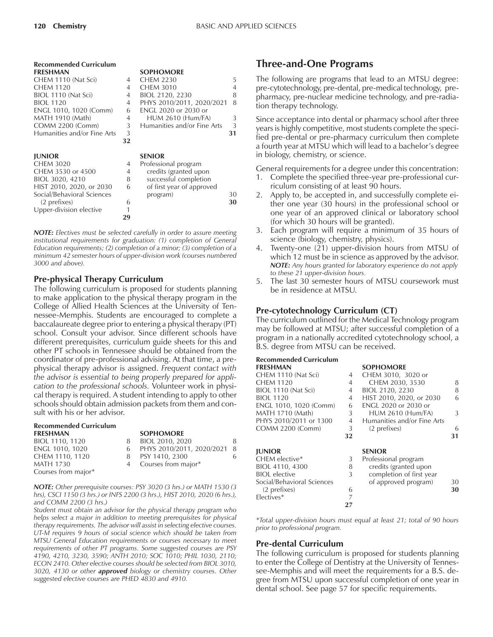| <b>Recommended Curriculum</b> |                |                             |    |
|-------------------------------|----------------|-----------------------------|----|
| <b>FRESHMAN</b>               |                | <b>SOPHOMORE</b>            |    |
| CHEM 1110 (Nat Sci)           | 4              | <b>CHEM 2230</b>            | 5  |
| <b>CHEM 1120</b>              | 4              | <b>CHEM 3010</b>            | 4  |
| BIOL 1110 (Nat Sci)           | $\overline{4}$ | BIOL 2120, 2230             | 8  |
| <b>BIOL 1120</b>              | 4              | PHYS 2010/2011, 2020/2021   | 8  |
| ENGL 1010, 1020 (Comm)        | 6              | <b>ENGL 2020 or 2030 or</b> |    |
| MATH 1910 (Math)              | 4              | <b>HUM 2610 (Hum/FA)</b>    | 3  |
| <b>COMM 2200 (Comm)</b>       | 3              | Humanities and/or Fine Arts | 3  |
| Humanities and/or Fine Arts   | 3              |                             | 31 |
|                               | 32             |                             |    |
| <b>JUNIOR</b>                 |                | <b>SENIOR</b>               |    |
| <b>CHEM 3020</b>              | 4              | Professional program        |    |
| CHEM 3530 or 4500             | 4              | credits (granted upon       |    |
| BIOL 3020, 4210               | 8              | successful completion       |    |
| HIST 2010, 2020, or 2030      | 6              | of first year of approved   |    |
| Social/Behavioral Sciences    |                | program)                    | 30 |
| (2 prefixes)                  | 6              |                             | 30 |
| Upper-division elective       |                |                             |    |
|                               | 29             |                             |    |

*NOTE: Electives must be selected carefully in order to assure meeting institutional requirements for graduation: (1) completion of General Education requirements; (2) completion of a minor; (3) completion of a minimum 42 semester hours of upper-division work (courses numbered 3000 and above).*

#### **Pre-physical Therapy Curriculum**

The following curriculum is proposed for students planning to make application to the physical therapy program in the College of Allied Health Sciences at the University of Tennessee-Memphis. Students are encouraged to complete a baccalaureate degree prior to entering a physical therapy (PT) school. Consult your advisor. Since different schools have different prerequisites, curriculum guide sheets for this and other PT schools in Tennessee should be obtained from the coordinator of pre-professional advising. At that time, a prephysical therapy advisor is assigned. *Frequent contact with the advisor is essential to being properly prepared for application to the professional schools.* Volunteer work in physical therapy is required. A student intending to apply to other schools should obtain admission packets from them and consult with his or her advisor.

| <b>Recommended Curriculum</b> |   |                             |    |
|-------------------------------|---|-----------------------------|----|
| <b>FRESHMAN</b>               |   | <b>SOPHOMORE</b>            |    |
| BIOL 1110, 1120               | 8 | BIOL 2010, 2020             | 8  |
| ENGL 1010, 1020               |   | 6 PHYS 2010/2011, 2020/2021 | -8 |
| CHEM 1110, 1120               | 8 | PSY 1410, 2300              | 6  |
| <b>MATH 1730</b>              |   | 4 Courses from major*       |    |
| Courses from major*           |   |                             |    |

*NOTE: Other prerequisite courses: PSY 3020 (3 hrs.) or MATH 1530 (3 hrs), CSCI 1150 (3 hrs.) or INFS 2200 (3 hrs.), HIST 2010, 2020 (6 hrs.), and COMM 2200 (3 hrs.)*

*Student must obtain an advisor for the physical therapy program who helps select a major in addition to meeting prerequisites for physical therapy requirements. The advisor will assist in selecting elective courses. UT-M requires 9 hours of social science which should be taken from MTSU General Education requirements or courses necessary to meet requirements of other PT programs. Some suggested courses are PSY 4190, 4210, 3230, 3590; ANTH 2010; SOC 1010; PHIL 1030, 2110; ECON 2410. Other elective courses should be selected from BIOL 3010, 3020, 4130 or other approved biology or chemistry courses. Other suggested elective courses are PHED 4830 and 4910.*

### **Three-and-One Programs**

The following are programs that lead to an MTSU degree: pre-cytotechnology, pre-dental, pre-medical technology, prepharmacy, pre-nuclear medicine technology, and pre-radiation therapy technology.

Since acceptance into dental or pharmacy school after three years is highly competitive, most students complete the specified pre-dental or pre-pharmacy curriculum then complete a fourth year at MTSU which will lead to a bachelor's degree in biology, chemistry, or science.

General requirements for a degree under this concentration:

- 1. Complete the specified three-year pre-professional curriculum consisting of at least 90 hours.
- 2. Apply to, be accepted in, and successfully complete either one year (30 hours) in the professional school or one year of an approved clinical or laboratory school (for which 30 hours will be granted).
- 3. Each program will require a minimum of 35 hours of science (biology, chemistry, physics).
- 4. Twenty-one (21) upper-division hours from MTSU of which 12 must be in science as approved by the advisor. *NOTE: Any hours granted for laboratory experience do not apply to these 21 upper-division hours.*
- 5. The last 30 semester hours of MTSU coursework must be in residence at MTSU.

#### **Pre-cytotechnology Curriculum (CT)**

The curriculum outlined for the Medical Technology program may be followed at MTSU; after successful completion of a program in a nationally accredited cytotechnology school, a B.S. degree from MTSU can be received.

#### **Recommended Curriculum**

| кссонністаса сантсавні     |                |                             |    |
|----------------------------|----------------|-----------------------------|----|
| <b>FRESHMAN</b>            |                | <b>SOPHOMORE</b>            |    |
| CHEM 1110 (Nat Sci)        | 4              | CHEM 3010, 3020 or          |    |
| <b>CHEM 1120</b>           | 4              | CHEM 2030, 3530             | 8  |
| BIOL 1110 (Nat Sci)        | $\overline{4}$ | BIOL 2120, 2230             | 8  |
| <b>BIOL 1120</b>           | $\overline{4}$ | HIST 2010, 2020, or 2030    | 6  |
| ENGL 1010, 1020 (Comm)     | 6              | <b>ENGL 2020 or 2030 or</b> |    |
| <b>MATH 1710 (Math)</b>    | 3              | <b>HUM 2610 (Hum/FA)</b>    | 3  |
| PHYS 2010/2011 or 1300     | $\overline{4}$ | Humanities and/or Fine Arts |    |
| <b>COMM 2200 (Comm)</b>    | 3              | (2 prefixes)                | 6  |
|                            | 32             |                             | 31 |
| <b>JUNIOR</b>              |                | <b>SENIOR</b>               |    |
| CHEM elective*             | 3              | Professional program        |    |
| BIOL 4110, 4300            | 8              | credits (granted upon       |    |
| <b>BIOL</b> elective       | 3              | completion of first year    |    |
| Social/Behavioral Sciences |                | of approved program)        | 30 |
| (2 prefixes)               | 6              |                             | 30 |
| Electives*                 | 7              |                             |    |
|                            | 27             |                             |    |

*\*Total upper-division hours must equal at least 21; total of 90 hours prior to professional program.*

#### **Pre-dental Curriculum**

The following curriculum is proposed for students planning to enter the College of Dentistry at the University of Tennessee-Memphis and will meet the requirements for a B.S. degree from MTSU upon successful completion of one year in dental school. See page 57 for specific requirements.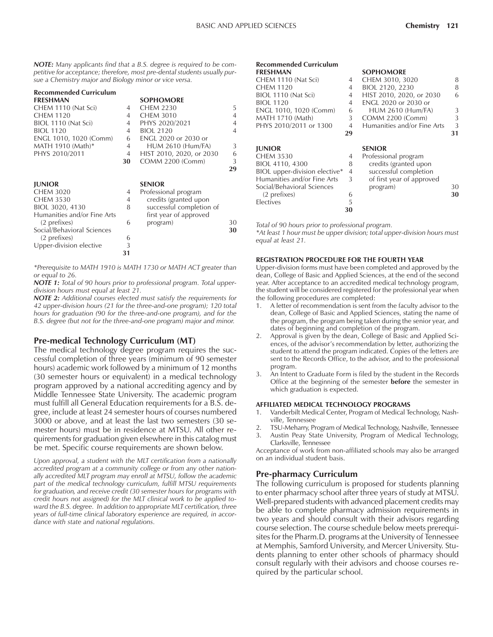*NOTE: Many applicants find that a B.S. degree is required to be competitive for acceptance; therefore, most pre-dental students usually pursue a Chemistry major and Biology minor or vice versa.*

| <b>Recommended Curriculum</b> |    |                          |                |
|-------------------------------|----|--------------------------|----------------|
| <b>FRESHMAN</b>               |    | <b>SOPHOMORE</b>         |                |
| CHEM 1110 (Nat Sci)           | 4  | <b>CHEM 2230</b>         | 5              |
| <b>CHEM 1120</b>              | 4  | <b>CHEM 3010</b>         | $\overline{4}$ |
| BIOL 1110 (Nat Sci)           | 4  | PHYS 2020/2021           | $\overline{4}$ |
| <b>BIOL 1120</b>              | 4  | <b>BIOL 2120</b>         | $\overline{4}$ |
| ENGL 1010, 1020 (Comm)        | 6  | ENGL 2020 or 2030 or     |                |
| MATH 1910 (Math)*             | 4  | <b>HUM 2610 (Hum/FA)</b> | 3              |
| PHYS 2010/2011                | 4  | HIST 2010, 2020, or 2030 | 6              |
|                               | 30 | <b>COMM 2200 (Comm)</b>  | 3              |
|                               |    |                          | 29             |
|                               |    |                          |                |
| <b>JUNIOR</b>                 |    | <b>SENIOR</b>            |                |
| <b>CHEM 3020</b>              | 4  | Professional program     |                |
| <b>CHEM 3530</b>              | 4  | credits (granted upon    |                |
| BIOL 3020, 4130               | 8  | successful completion of |                |
| Humanities and/or Fine Arts   |    | first year of approved   |                |
| (2 prefixes)                  | 6  | program)                 | 30             |
| Social/Behavioral Sciences    |    |                          | 30             |
| (2 prefixes)                  | 6  |                          |                |
| Upper-division elective       | 3  |                          |                |
|                               | 31 |                          |                |
|                               |    |                          |                |

*\*Prerequisite to MATH 1910 is MATH 1730 or MATH ACT greater than or equal to 26.*

*NOTE 1: Total of 90 hours prior to professional program. Total upperdivision hours must equal at least 21.*

*NOTE 2: Additional courses elected must satisfy the requirements for 42 upper-division hours (21 for the three-and-one program); 120 total hours for graduation (90 for the three-and-one program), and for the B.S. degree (but not for the three-and-one program) major and minor.*

#### **Pre-medical Technology Curriculum (MT)**

The medical technology degree program requires the successful completion of three years (minimum of 90 semester hours) academic work followed by a minimum of 12 months (30 semester hours or equivalent) in a medical technology program approved by a national accrediting agency and by Middle Tennessee State University. The academic program must fulfill all General Education requirements for a B.S. degree, include at least 24 semester hours of courses numbered 3000 or above, and at least the last two semesters (30 semester hours) must be in residence at MTSU. All other requirements for graduation given elsewhere in this catalog must be met. Specific course requirements are shown below.

*Upon approval, a student with the MLT certification from a nationally accredited program at a community college or from any other nationally accredited MLT program may enroll at MTSU, follow the academic part of the medical technology curriculum, fulfill MTSU requirements for graduation, and receive credit (30 semester hours for programs with credit hours not assigned) for the MLT clinical work to be applied toward the B.S. degree. In addition to appropriate MLT certification, three years of full-time clinical laboratory experience are required, in accordance with state and national regulations.*

| Recommended Curriculum        |                |                             |    |
|-------------------------------|----------------|-----------------------------|----|
| FRESHMAN                      |                | <b>SOPHOMORE</b>            |    |
| CHEM 1110 (Nat Sci)           | 4              | CHEM 3010, 3020             | 8  |
| CHEM 1120                     | 4              | BIOL 2120, 2230             | 8  |
| BIOL 1110 (Nat Sci)           | 4              | HIST 2010, 2020, or 2030    | 6  |
| <b>BIOL 1120</b>              | 4              | <b>ENGL 2020 or 2030 or</b> |    |
| ENGL 1010, 1020 (Comm)        | 6              | <b>HUM 2610 (Hum/FA)</b>    | 3  |
| MATH 1710 (Math)              | 3              | COMM 2200 (Comm)            | 3  |
| PHYS 2010/2011 or 1300        | $\overline{4}$ | Humanities and/or Fine Arts | 3  |
|                               | 29             |                             | 31 |
| <b>IUNIOR</b>                 |                | <b>SENIOR</b>               |    |
| CHEM 3530                     | 4              | Professional program        |    |
| BIOL 4110, 4300               | 8              | credits (granted upon       |    |
| BIOL upper-division elective* | 4              | successful completion       |    |
| Humanities and/or Fine Arts   | 3              | of first year of approved   |    |
| Social/Behavioral Sciences    |                | program)                    | 30 |
| (2 prefixes)                  | 6              |                             | 30 |
| Electives                     | 5              |                             |    |
|                               | 30             |                             |    |

*Total of 90 hours prior to professional program.*

*\*At least 1 hour must be upper division; total upper-division hours must equal at least 21.*

#### **REGISTRATION PROCEDURE FOR THE FOURTH YEAR**

Upper-division forms must have been completed and approved by the dean, College of Basic and Applied Sciences, at the end of the second year. After acceptance to an accredited medical technology program, the student will be considered registered for the professional year when the following procedures are completed:

- A letter of recommendation is sent from the faculty advisor to the dean, College of Basic and Applied Sciences, stating the name of the program, the program being taken during the senior year, and dates of beginning and completion of the program.
- 2. Approval is given by the dean, College of Basic and Applied Sciences, of the advisor's recommendation by letter, authorizing the student to attend the program indicated. Copies of the letters are sent to the Records Office, to the advisor, and to the professional program.
- 3. An Intent to Graduate Form is filed by the student in the Records Office at the beginning of the semester **before** the semester in which graduation is expected.

#### **AFFILIATED MEDICAL TECHNOLOGY PROGRAMS**

- 1. Vanderbilt Medical Center, Program of Medical Technology, Nashville, Tennessee
- 2. TSU-Meharry, Program of Medical Technology, Nashville, Tennessee
- 3. Austin Peay State University, Program of Medical Technology, Clarksville, Tennessee

Acceptance of work from non-affiliated schools may also be arranged on an individual student basis.

#### **Pre-pharmacy Curriculum**

The following curriculum is proposed for students planning to enter pharmacy school after three years of study at MTSU. Well-prepared students with advanced placement credits may be able to complete pharmacy admission requirements in two years and should consult with their advisors regarding course selection. The course schedule below meets prerequisites for the Pharm.D. programs at the University of Tennessee at Memphis, Samford University, and Mercer University. Students planning to enter other schools of pharmacy should consult regularly with their advisors and choose courses required by the particular school.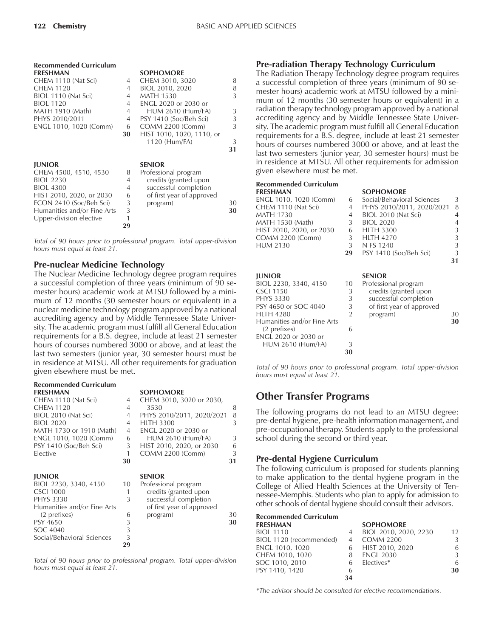| <b>Recommended Curriculum</b> |                |                             |    |
|-------------------------------|----------------|-----------------------------|----|
| <b>FRESHMAN</b>               |                | <b>SOPHOMORE</b>            |    |
| CHEM 1110 (Nat Sci)           | 4              | CHEM 3010, 3020             | 8  |
| <b>CHEM 1120</b>              | 4              | BIOL 2010, 2020             | 8  |
| BIOL 1110 (Nat Sci)           | 4              | <b>MATH 1530</b>            | 3  |
| <b>BIOL 1120</b>              | 4              | <b>ENGL 2020 or 2030 or</b> |    |
| MATH 1910 (Math)              | 4              | <b>HUM 2610 (Hum/FA)</b>    | 3  |
| PHYS 2010/2011                | $\overline{4}$ | PSY 1410 (Soc/Beh Sci)      | 3  |
| ENGL 1010, 1020 (Comm)        | 6              | COMM 2200 (Comm)            | 3  |
|                               | 30             | HIST 1010, 1020, 1110, or   |    |
|                               |                | 1120 (Hum/FA)               | 3  |
|                               |                |                             | 31 |
|                               |                |                             |    |
| <b>JUNIOR</b>                 |                | <b>SENIOR</b>               |    |
| CHEM 4500, 4510, 4530         | 8              | Professional program        |    |
| <b>BIOL 2230</b>              | 4              | credits (granted upon       |    |
| <b>BIOL 4300</b>              | 4              | successful completion       |    |
| HIST 2010, 2020, or 2030      | 6              | of first year of approved   |    |
| ECON 2410 (Soc/Beh Sci)       | 3              | program)                    | 30 |
| Humanities and/or Fine Arts   | 3              |                             | 30 |
| Upper-division elective       | 1              |                             |    |
|                               | 29             |                             |    |
|                               |                |                             |    |

*Total of 90 hours prior to professional program. Total upper-division hours must equal at least 21.*

#### **Pre-nuclear Medicine Technology**

The Nuclear Medicine Technology degree program requires a successful completion of three years (minimum of 90 semester hours) academic work at MTSU followed by a minimum of 12 months (30 semester hours or equivalent) in a nuclear medicine technology program approved by a national accrediting agency and by Middle Tennessee State University. The academic program must fulfill all General Education requirements for a B.S. degree, include at least 21 semester hours of courses numbered 3000 or above, and at least the last two semesters (junior year, 30 semester hours) must be in residence at MTSU. All other requirements for graduation given elsewhere must be met.

| <b>Recommended Curriculum</b><br><b>FRESHMAN</b> |    | <b>SOPHOMORE</b>            |    |
|--------------------------------------------------|----|-----------------------------|----|
| CHEM 1110 (Nat Sci)                              | 4  | CHEM 3010, 3020 or 2030,    |    |
| <b>CHFM 1120</b>                                 | 4  | 3530                        | 8  |
| BIOL 2010 (Nat Sci)                              | 4  | PHYS 2010/2011, 2020/2021   | 8  |
| <b>BIOL 2020</b>                                 | 4  | <b>HLTH 3300</b>            | 3  |
| MATH 1730 or 1910 (Math)                         | 4  | <b>ENGL 2020 or 2030 or</b> |    |
| ENGL 1010, 1020 (Comm)                           | 6  | <b>HUM 2610 (Hum/FA)</b>    | 3  |
| PSY 1410 (Soc/Beh Sci)                           | 3  | HIST 2010, 2020, or 2030    | 6  |
| Elective                                         | 1  | COMM 2200 (Comm)            | 3  |
|                                                  | 30 |                             | 31 |
| <b>JUNIOR</b>                                    |    | <b>SENIOR</b>               |    |
| BIOL 2230, 3340, 4150                            | 10 | Professional program        |    |
| <b>CSCI 1000</b>                                 | 1  | credits (granted upon       |    |
| <b>PHYS 3330</b>                                 | 3  | successful completion       |    |
| Humanities and/or Fine Arts                      |    | of first year of approved   |    |
| (2 prefixes)                                     | 6  | program)                    | 30 |
| PSY 4650                                         | 3  |                             | 30 |
| SOC 4040                                         | 3  |                             |    |
| Social/Behavioral Sciences                       | 3  |                             |    |
|                                                  | 29 |                             |    |

*Total of 90 hours prior to professional program. Total upper-division hours must equal at least 21.*

#### **Pre-radiation Therapy Technology Curriculum**

The Radiation Therapy Technology degree program requires a successful completion of three years (minimum of 90 semester hours) academic work at MTSU followed by a minimum of 12 months (30 semester hours or equivalent) in a radiation therapy technology program approved by a national accrediting agency and by Middle Tennessee State University. The academic program must fulfill all General Education requirements for a B.S. degree, include at least 21 semester hours of courses numbered 3000 or above, and at least the last two semesters (junior year, 30 semester hours) must be in residence at MTSU. All other requirements for admission given elsewhere must be met.

#### **Recommended Curriculum**

|                | <b>SOPHOMORE</b>           |               |
|----------------|----------------------------|---------------|
| 6              | Social/Behavioral Sciences | 3             |
| 4              | PHYS 2010/2011, 2020/2021  | 8             |
| 4              | BIOL 2010 (Nat Sci)        | 4             |
| 3              | <b>BIOL 2020</b>           | 4             |
| 6              | <b>HLTH 3300</b>           | 3             |
| 3              | <b>HLTH 4270</b>           | 3             |
| 3              | N FS 1240                  | 3             |
| 29             | PSY 1410 (Soc/Beh Sci)     | 3             |
|                |                            | 31            |
|                |                            |               |
|                |                            |               |
| 10             | Professional program       |               |
| 3              | credits (granted upon      |               |
| 3              | successful completion      |               |
| 3              | of first year of approved  |               |
| $\overline{2}$ | program)                   | 30            |
|                |                            | 30            |
| 6              |                            |               |
|                |                            |               |
| 3              |                            |               |
| 30             |                            |               |
|                |                            | <b>SENIOR</b> |

*Total of 90 hours prior to professional program. Total upper-division hours must equal at least 21.*

### **Other Transfer Programs**

The following programs do not lead to an MTSU degree: pre-dental hygiene, pre-health information management, and pre-occupational therapy. Students apply to the professional school during the second or third year.

#### **Pre-dental Hygiene Curriculum**

The following curriculum is proposed for students planning to make application to the dental hygiene program in the College of Allied Health Sciences at the University of Tennessee-Memphis. Students who plan to apply for admission to other schools of dental hygiene should consult their advisors.

### **Recommended Curriculum**

|                | <b>SOPHOMORE</b>      |                   |
|----------------|-----------------------|-------------------|
| 4              | BIOL 2010, 2020, 2230 | 12                |
| $\overline{4}$ | <b>COMM 2200</b>      | 3                 |
|                |                       | 6                 |
| 8              | <b>ENGL 2030</b>      | 3                 |
| 6              | Electives*            | 6                 |
| 6              |                       | 30                |
| 34             |                       |                   |
|                |                       | 6 HIST 2010, 2020 |

*\*The advisor should be consulted for elective recommendations.*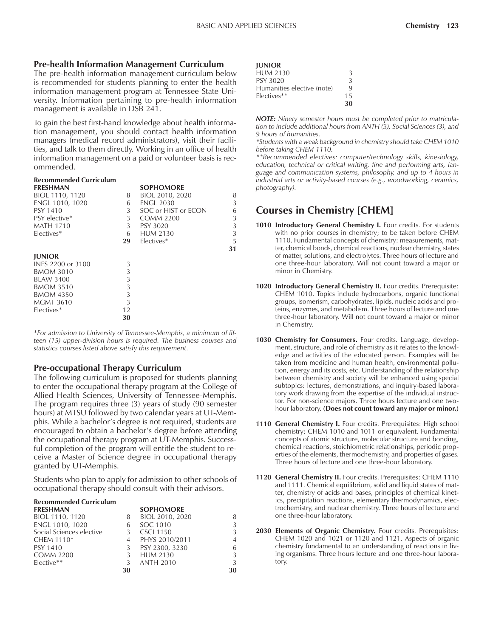#### **Pre-health Information Management Curriculum**

The pre-health information management curriculum below is recommended for students planning to enter the health information management program at Tennessee State University. Information pertaining to pre-health information management is available in DSB 241.

To gain the best first-hand knowledge about health information management, you should contact health information managers (medical record administrators), visit their facilities, and talk to them directly. Working in an office of health information management on a paid or volunteer basis is recommended.

#### **Recommended Curriculum**

| <b>FRESHMAN</b>   |    | <b>SOPHOMORE</b>    |    |
|-------------------|----|---------------------|----|
| BIOL 1110, 1120   | 8  | BIOL 2010, 2020     | 8  |
| ENGL 1010, 1020   | 6  | <b>ENGL 2030</b>    | 3  |
| PSY 1410          | 3  | SOC or HIST or ECON | 6  |
| PSY elective*     | 3  | <b>COMM 2200</b>    | 3  |
| <b>MATH 1710</b>  | 3  | PSY 3020            | 3  |
| Electives*        | 6  | <b>HUM 2130</b>     | 3  |
|                   | 29 | Electives*          | 5  |
|                   |    |                     | 31 |
| <b>JUNIOR</b>     |    |                     |    |
| INES 2200 or 3100 | 3  |                     |    |
| <b>BMOM 3010</b>  | 3  |                     |    |
| BLAW 3400         | 3  |                     |    |
| <b>BMOM 3510</b>  | 3  |                     |    |
| <b>BMOM 4350</b>  | 3  |                     |    |
| <b>MGMT 3610</b>  | 3  |                     |    |
| Electives*        | 12 |                     |    |
|                   | 30 |                     |    |
|                   |    |                     |    |

\**For admission to University of Tennessee-Memphis, a minimum of fifteen (15) upper-division hours is required. The business courses and statistics courses listed above satisfy this requirement.*

#### **Pre-occupational Therapy Curriculum**

The following curriculum is proposed for students planning to enter the occupational therapy program at the College of Allied Health Sciences, University of Tennessee-Memphis. The program requires three (3) years of study (90 semester hours) at MTSU followed by two calendar years at UT-Memphis. While a bachelor's degree is not required, students are encouraged to obtain a bachelor's degree before attending the occupational therapy program at UT-Memphis. Successful completion of the program will entitle the student to receive a Master of Science degree in occupational therapy granted by UT-Memphis.

Students who plan to apply for admission to other schools of occupational therapy should consult with their advisors.

## **Recommended Curriculum**

| <b>FRESHMAN</b>          |    | <b>SOPHOMORE</b> |                |
|--------------------------|----|------------------|----------------|
| BIOL 1110, 1120          | 8  | BIOL 2010, 2020  | 8              |
| ENGL 1010, 1020          |    | SOC 1010         | 3              |
| Social Sciences elective |    | <b>CSCI 1150</b> | 3              |
| CHEM 1110 <sup>*</sup>   |    | PHYS 2010/2011   | $\overline{4}$ |
| <b>PSY 1410</b>          | 3  | PSY 2300, 3230   | 6              |
| <b>COMM 2200</b>         |    | <b>HUM 2130</b>  | 3              |
| $Elective**$             | 3  | ANTH 2010        | 3              |
|                          | 30 |                  | 30             |

| <b>IUNIOR</b>              |    |
|----------------------------|----|
| <b>HUM 2130</b>            | 3  |
| PSY 3020                   | 3  |
| Humanities elective (note) | q  |
| Electives**                | 15 |
|                            | 30 |

*NOTE: Ninety semester hours must be completed prior to matriculation to include additional hours from ANTH (3), Social Sciences (3), and 9 hours of humanities.*

*\*Students with a weak background in chemistry should take CHEM 1010 before taking CHEM 1110.*

*\*\*Recommended electives: computer/technology skills, kinesiology, education, technical or critical writing, fine and performing arts, language and communication systems, philosophy, and up to 4 hours in industrial arts or activity-based courses (e.g., woodworking, ceramics, photography).*

### **Courses in Chemistry [CHEM]**

- 1010 Introductory General Chemistry I. Four credits. For students with no prior courses in chemistry; to be taken before CHEM 1110. Fundamental concepts of chemistry: measurements, matter, chemical bonds, chemical reactions, nuclear chemistry, states of matter, solutions, and electrolytes. Three hours of lecture and one three-hour laboratory. Will not count toward a major or minor in Chemistry.
- 1020 Introductory General Chemistry II. Four credits. Prerequisite: CHEM 1010. Topics include hydrocarbons, organic functional groups, isomerism, carbohydrates, lipids, nucleic acids and proteins, enzymes, and metabolism. Three hours of lecture and one three-hour laboratory. Will not count toward a major or minor in Chemistry.
- **1030 Chemistry for Consumers.** Four credits. Language, development, structure, and role of chemistry as it relates to the knowledge and activities of the educated person. Examples will be taken from medicine and human health, environmental pollution, energy and its costs, etc. Understanding of the relationship between chemistry and society will be enhanced using special subtopics: lectures, demonstrations, and inquiry-based laboratory work drawing from the expertise of the individual instructor. For non-science majors. Three hours lecture and one twohour laboratory. **(Does not count toward any major or minor.)**
- 1110 General Chemistry I. Four credits. Prerequisites: High school chemistry; CHEM 1010 and 1011 or equivalent. Fundamental concepts of atomic structure, molecular structure and bonding, chemical reactions, stoichiometric relationships, periodic properties of the elements, thermochemistry, and properties of gases. Three hours of lecture and one three-hour laboratory.
- **1120 General Chemistry II.** Four credits. Prerequisites: CHEM 1110 and 1111. Chemical equilibrium, solid and liquid states of matter, chemistry of acids and bases, principles of chemical kinetics, precipitation reactions, elementary thermodynamics, electrochemistry, and nuclear chemistry. Three hours of lecture and one three-hour laboratory.
- **2030 Elements of Organic Chemistry.** Four credits. Prerequisites: CHEM 1020 and 1021 or 1120 and 1121. Aspects of organic chemistry fundamental to an understanding of reactions in living organisms. Three hours lecture and one three-hour laboratory.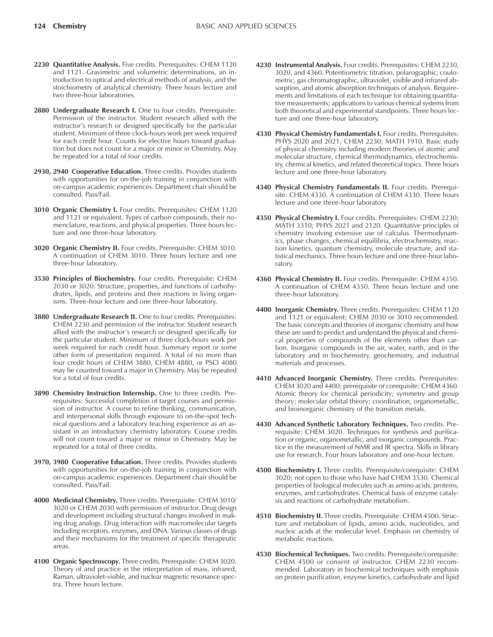- **2230 Quantitative Analysis.** Five credits. Prerequisites: CHEM 1120 and 1121. Gravimetric and volumetric determinations, an introduction to optical and electrical methods of analysis, and the stoichiometry of analytical chemistry. Three hours lecture and two three-hour laboratories.
- 2880 Undergraduate Research I. One to four credits. Prerequisite: Permission of the instructor. Student research allied with the instructor's research or designed specifically for the particular student. Minimum of three clock-hours work per week required for each credit hour. Counts for elective hours toward graduation but does not count for a major or minor in Chemistry. May be repeated for a total of four credits.
- **2930, 2940 Cooperative Education.** Three credits. Provides students with opportunities for on-the-job training in conjunction with on-campus academic experiences. Department chair should be consulted. Pass/Fail.
- **3010 Organic Chemistry I.** Four credits. Prerequisites: CHEM 1120 and 1121 or equivalent. Types of carbon compounds, their nomenclature, reactions, and physical properties. Three hours lecture and one three-hour laboratory.
- **3020 Organic Chemistry II.** Four credits. Prerequisite: CHEM 3010. A continuation of CHEM 3010. Three hours lecture and one three-hour laboratory.
- **3530 Principles of Biochemistry.** Four credits. Prerequisite: CHEM 2030 or 3020. Structure, properties, and functions of carbohydrates, lipids, and proteins and their reactions in living organisms. Three-hour lecture and one three-hour laboratory.
- **3880 Undergraduate Research II.** One to four credits. Prerequisites: CHEM 2230 and permission of the instructor. Student research allied with the instructor's research or designed specifically for the particular student. Minimum of three clock-hours work per week required for each credit hour. Summary report or some other form of presentation required. A total of no more than four credit hours of CHEM 3880, CHEM 4880, or PSCI 4080 may be counted toward a major in Chemistry. May be repeated for a total of four credits.
- **3890 Chemistry Instruction Internship.** One to three credits. Prerequisites: Successful completion of target courses and permission of instructor. A course to refine thinking, communication, and interpersonal skills through exposure to on-the-spot technical questions and a laboratory teaching experience as an assistant in an introductory chemistry laboratory. Course credits will not count toward a major or minor in Chemistry. May be repeated for a total of three credits.
- **3970, 3980 Cooperative Education.** Three credits. Provides students with opportunities for on-the-job training in conjunction with on-campus academic experiences. Department chair should be consulted. Pass/Fail.
- **4000 Medicinal Chemistry.** Three credits. Prerequisite: CHEM 3010/ 3020 or CHEM 2030 with permission of instructor. Drug design and development including structural changes involved in making drug analogs. Drug interaction with macromolecular targets including receptors, enzymes, and DNA. Various classes of drugs and their mechanisms for the treatment of specific therapeutic areas.
- **4100 Organic Spectroscopy.** Three credits. Prerequisite: CHEM 3020. Theory of and practice in the interpretation of mass, infrared, Raman, ultraviolet-visible, and nuclear magnetic resonance spectra. Three hours lecture.
- **4230 Instrumental Analysis.** Four credits. Prerequisites: CHEM 2230, 3020, and 4360. Potentiometric titration, polarographic, coulometric, gas chromatographic, ultraviolet, visible and infrared absorption, and atomic absorption techniques of analysis. Requirements and limitations of each technique for obtaining quantitative measurements; applications to various chemical systems from both theoretical and experimental standpoints. Three hours lecture and one three-hour laboratory.
- **4330 Physical Chemistry Fundamentals I.** Four credits. Prerequisites: PHYS 2020 and 2021; CHEM 2230; MATH 1910. Basic study of physical chemistry including modern theories of atomic and molecular structure, chemical thermodynamics, electrochemistry, chemical kinetics, and related theoretical topics. Three hours lecture and one three-hour laboratory.
- **4340 Physical Chemistry Fundamentals II.** Four credits. Prerequisite: CHEM 4330. A continuation of CHEM 4330. Three hours lecture and one three-hour laboratory.
- **4350 Physical Chemistry I.** Four credits. Prerequisites: CHEM 2230; MATH 3310; PHYS 2021 and 2120. Quantitative principles of chemistry involving extensive use of calculus. Thermodynamics, phase changes, chemical equilibria, electrochemistry, reaction kinetics, quantum chemistry, molecule structure, and statistical mechanics. Three hours lecture and one three-hour laboratory.
- **4360 Physical Chemistry II.** Four credits. Prerequisite: CHEM 4350. A continuation of CHEM 4350. Three hours lecture and one three-hour laboratory.
- **4400 Inorganic Chemistry.** Three credits. Prerequisites: CHEM 1120 and 1121 or equivalent; CHEM 2030 or 3010 recommended. The basic concepts and theories of inorganic chemistry and how these are used to predict and understand the physical and chemical properties of compounds of the elements other than carbon. Inorganic compounds in the air, water, earth, and in the laboratory and in biochemistry, geochemistry, and industrial materials and processes.
- **4410 Advanced Inorganic Chemistry.** Three credits. Prerequisites: CHEM 3020 and 4400; prerequisite or corequisite: CHEM 4360. Atomic theory for chemical periodicity; symmetry and group theory; molecular orbital theory; coordination, organometallic, and bioinorganic chemistry of the transition metals.
- **4430 Advanced Synthetic Laboratory Techniques.** Two credits. Prerequisite: CHEM 3020. Techniques for synthesis and purification or organic, organometallic, and inorganic compounds. Practice in the measurement of NMR and IR spectra. Skills in library use for research. Four hours laboratory and one-hour lecture.
- **4500 Biochemistry I.** Three credits. Prerequisite/corequisite: CHEM 3020; not open to those who have had CHEM 3530. Chemical properties of biological molecules such as amino acids, proteins, enzymes, and carbohydrates. Chemical basis of enzyme catalysis and reactions of carbohydrate metabolism.
- **4510 Biochemistry II.** Three credits. Prerequisite: CHEM 4500. Structure and metabolism of lipids, amino acids, nucleotides, and nucleic acids at the molecular level. Emphasis on chemistry of metabolic reactions.
- **4530 Biochemical Techniques.** Two credits. Prerequisite/corequisite: CHEM 4500 or consent of instructor. CHEM 2230 recommended. Laboratory in biochemical techniques with emphasis on protein purification, enzyme kinetics, carbohydrate and lipid